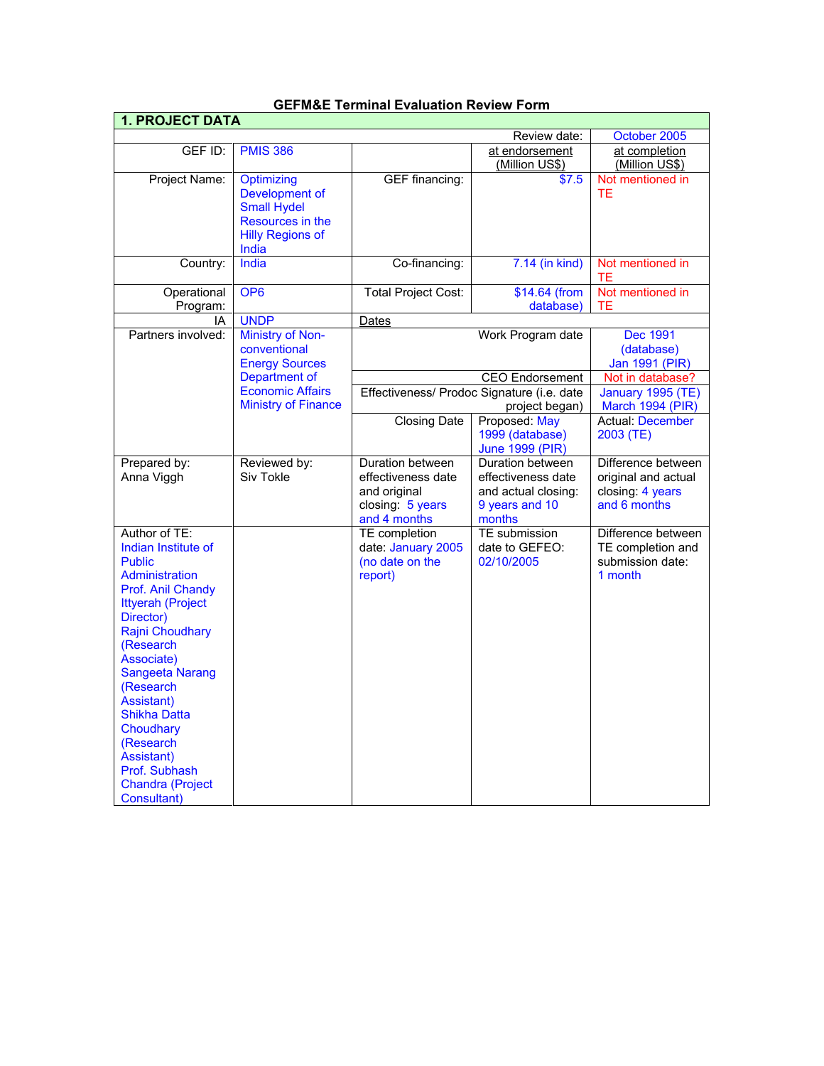| 1. PROJECT DATA                                                                                                                                                                                                                                                                                                                                                                  |                                                                                                                       |                                                                                            |                                                                                           |                                                                               |
|----------------------------------------------------------------------------------------------------------------------------------------------------------------------------------------------------------------------------------------------------------------------------------------------------------------------------------------------------------------------------------|-----------------------------------------------------------------------------------------------------------------------|--------------------------------------------------------------------------------------------|-------------------------------------------------------------------------------------------|-------------------------------------------------------------------------------|
|                                                                                                                                                                                                                                                                                                                                                                                  |                                                                                                                       |                                                                                            | Review date:                                                                              | October 2005                                                                  |
| GEF ID:                                                                                                                                                                                                                                                                                                                                                                          | <b>PMIS 386</b>                                                                                                       |                                                                                            | at endorsement                                                                            | at completion                                                                 |
|                                                                                                                                                                                                                                                                                                                                                                                  |                                                                                                                       |                                                                                            | (Million US\$)                                                                            | (Million US\$)                                                                |
| Project Name:                                                                                                                                                                                                                                                                                                                                                                    | Optimizing<br>Development of<br><b>Small Hydel</b>                                                                    | <b>GEF</b> financing:                                                                      | \$7.5                                                                                     | Not mentioned in<br>ТE                                                        |
|                                                                                                                                                                                                                                                                                                                                                                                  | Resources in the<br><b>Hilly Regions of</b><br>India                                                                  |                                                                                            |                                                                                           |                                                                               |
| Country:                                                                                                                                                                                                                                                                                                                                                                         | India                                                                                                                 | Co-financing:                                                                              | 7.14 (in kind)                                                                            | Not mentioned in<br><b>TE</b>                                                 |
| Operational<br>Program:                                                                                                                                                                                                                                                                                                                                                          | OP <sub>6</sub>                                                                                                       | <b>Total Project Cost:</b>                                                                 | \$14.64 (from<br>database)                                                                | Not mentioned in<br>TЕ                                                        |
| IA                                                                                                                                                                                                                                                                                                                                                                               | <b>UNDP</b>                                                                                                           | Dates                                                                                      |                                                                                           |                                                                               |
| Partners involved:                                                                                                                                                                                                                                                                                                                                                               | <b>Ministry of Non-</b><br>conventional                                                                               |                                                                                            | Work Program date                                                                         | Dec 1991<br>(database)                                                        |
|                                                                                                                                                                                                                                                                                                                                                                                  | <b>Energy Sources</b>                                                                                                 |                                                                                            |                                                                                           | Jan 1991 (PIR)                                                                |
|                                                                                                                                                                                                                                                                                                                                                                                  | Department of                                                                                                         |                                                                                            | <b>CEO</b> Endorsement                                                                    | Not in database?                                                              |
|                                                                                                                                                                                                                                                                                                                                                                                  | <b>Economic Affairs</b><br>Effectiveness/ Prodoc Signature (i.e. date<br><b>Ministry of Finance</b><br>project began) |                                                                                            | January 1995 (TE)<br><b>March 1994 (PIR)</b>                                              |                                                                               |
|                                                                                                                                                                                                                                                                                                                                                                                  |                                                                                                                       | <b>Closing Date</b>                                                                        | Proposed: May<br>1999 (database)<br><b>June 1999 (PIR)</b>                                | <b>Actual: December</b><br>2003 (TE)                                          |
| Prepared by:<br>Anna Viggh                                                                                                                                                                                                                                                                                                                                                       | Reviewed by:<br>Siv Tokle                                                                                             | Duration between<br>effectiveness date<br>and original<br>closing: 5 years<br>and 4 months | Duration between<br>effectiveness date<br>and actual closing:<br>9 years and 10<br>months | Difference between<br>original and actual<br>closing: 4 years<br>and 6 months |
| Author of TE:<br>Indian Institute of<br><b>Public</b><br><b>Administration</b><br>Prof. Anil Chandy<br><b>Ittyerah (Project</b><br>Director)<br><b>Rajni Choudhary</b><br>(Research<br>Associate)<br><b>Sangeeta Narang</b><br>(Research<br>Assistant)<br><b>Shikha Datta</b><br>Choudhary<br>(Research<br>Assistant)<br>Prof. Subhash<br><b>Chandra (Project</b><br>Consultant) |                                                                                                                       | TE completion<br>date: January 2005<br>(no date on the<br>report)                          | <b>TE</b> submission<br>date to GEFEO:<br>02/10/2005                                      | Difference between<br>TE completion and<br>submission date:<br>1 month        |

# **GEFM&E Terminal Evaluation Review Form**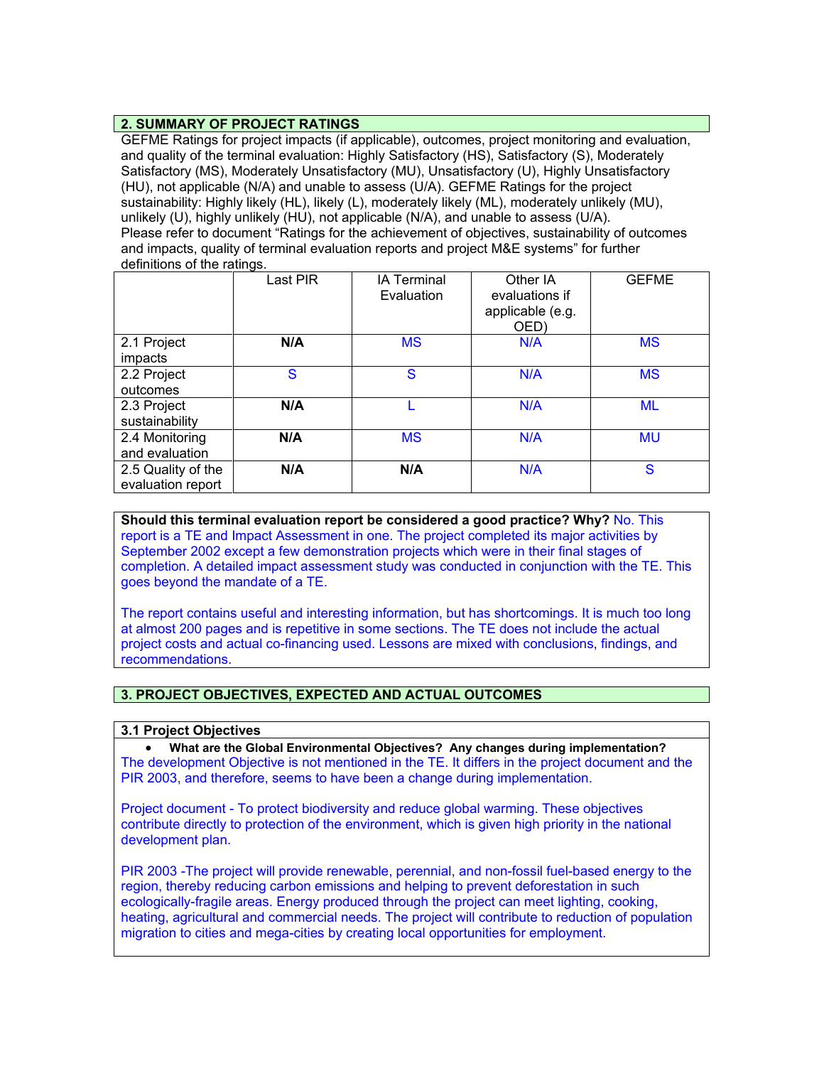### **2. SUMMARY OF PROJECT RATINGS**

GEFME Ratings for project impacts (if applicable), outcomes, project monitoring and evaluation, and quality of the terminal evaluation: Highly Satisfactory (HS), Satisfactory (S), Moderately Satisfactory (MS), Moderately Unsatisfactory (MU), Unsatisfactory (U), Highly Unsatisfactory (HU), not applicable (N/A) and unable to assess (U/A). GEFME Ratings for the project sustainability: Highly likely (HL), likely (L), moderately likely (ML), moderately unlikely (MU), unlikely (U), highly unlikely (HU), not applicable (N/A), and unable to assess (U/A). Please refer to document "Ratings for the achievement of objectives, sustainability of outcomes and impacts, quality of terminal evaluation reports and project M&E systems" for further definitions of the ratings.

|                    | Last PIR | <b>IA Terminal</b><br>Evaluation | Other IA<br>evaluations if<br>applicable (e.g.<br>OED) | <b>GEFME</b> |
|--------------------|----------|----------------------------------|--------------------------------------------------------|--------------|
| 2.1 Project        | N/A      | <b>MS</b>                        | N/A                                                    | <b>MS</b>    |
| impacts            |          |                                  |                                                        |              |
| 2.2 Project        | S        | S                                | N/A                                                    | <b>MS</b>    |
| outcomes           |          |                                  |                                                        |              |
| 2.3 Project        | N/A      |                                  | N/A                                                    | <b>ML</b>    |
| sustainability     |          |                                  |                                                        |              |
| 2.4 Monitoring     | N/A      | <b>MS</b>                        | N/A                                                    | <b>MU</b>    |
| and evaluation     |          |                                  |                                                        |              |
| 2.5 Quality of the | N/A      | N/A                              | N/A                                                    | S            |
| evaluation report  |          |                                  |                                                        |              |

**Should this terminal evaluation report be considered a good practice? Why?** No. This report is a TE and Impact Assessment in one. The project completed its major activities by September 2002 except a few demonstration projects which were in their final stages of completion. A detailed impact assessment study was conducted in conjunction with the TE. This goes beyond the mandate of a TE.

The report contains useful and interesting information, but has shortcomings. It is much too long at almost 200 pages and is repetitive in some sections. The TE does not include the actual project costs and actual co-financing used. Lessons are mixed with conclusions, findings, and recommendations.

## **3. PROJECT OBJECTIVES, EXPECTED AND ACTUAL OUTCOMES**

### **3.1 Project Objectives**

• **What are the Global Environmental Objectives? Any changes during implementation?** The development Objective is not mentioned in the TE. It differs in the project document and the PIR 2003, and therefore, seems to have been a change during implementation.

Project document - To protect biodiversity and reduce global warming. These objectives contribute directly to protection of the environment, which is given high priority in the national development plan.

PIR 2003 -The project will provide renewable, perennial, and non-fossil fuel-based energy to the region, thereby reducing carbon emissions and helping to prevent deforestation in such ecologically-fragile areas. Energy produced through the project can meet lighting, cooking, heating, agricultural and commercial needs. The project will contribute to reduction of population migration to cities and mega-cities by creating local opportunities for employment.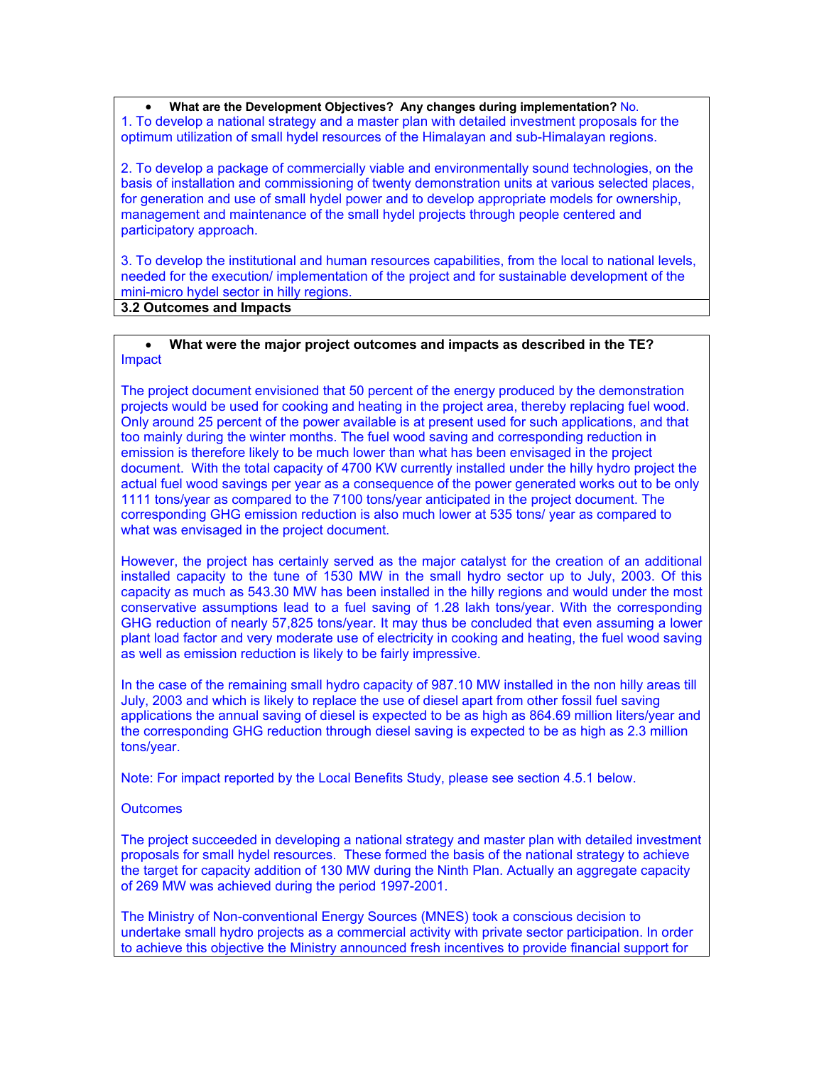• **What are the Development Objectives? Any changes during implementation?** No. 1. To develop a national strategy and a master plan with detailed investment proposals for the optimum utilization of small hydel resources of the Himalayan and sub-Himalayan regions.

2. To develop a package of commercially viable and environmentally sound technologies, on the basis of installation and commissioning of twenty demonstration units at various selected places, for generation and use of small hydel power and to develop appropriate models for ownership, management and maintenance of the small hydel projects through people centered and participatory approach.

3. To develop the institutional and human resources capabilities, from the local to national levels, needed for the execution/ implementation of the project and for sustainable development of the mini-micro hydel sector in hilly regions.

**3.2 Outcomes and Impacts**

### • **What were the major project outcomes and impacts as described in the TE?** Impact

The project document envisioned that 50 percent of the energy produced by the demonstration projects would be used for cooking and heating in the project area, thereby replacing fuel wood. Only around 25 percent of the power available is at present used for such applications, and that too mainly during the winter months. The fuel wood saving and corresponding reduction in emission is therefore likely to be much lower than what has been envisaged in the project document. With the total capacity of 4700 KW currently installed under the hilly hydro project the actual fuel wood savings per year as a consequence of the power generated works out to be only 1111 tons/year as compared to the 7100 tons/year anticipated in the project document. The corresponding GHG emission reduction is also much lower at 535 tons/ year as compared to what was envisaged in the project document.

However, the project has certainly served as the major catalyst for the creation of an additional installed capacity to the tune of 1530 MW in the small hydro sector up to July, 2003. Of this capacity as much as 543.30 MW has been installed in the hilly regions and would under the most conservative assumptions lead to a fuel saving of 1.28 lakh tons/year. With the corresponding GHG reduction of nearly 57,825 tons/year. It may thus be concluded that even assuming a lower plant load factor and very moderate use of electricity in cooking and heating, the fuel wood saving as well as emission reduction is likely to be fairly impressive.

In the case of the remaining small hydro capacity of 987.10 MW installed in the non hilly areas till July, 2003 and which is likely to replace the use of diesel apart from other fossil fuel saving applications the annual saving of diesel is expected to be as high as 864.69 million liters/year and the corresponding GHG reduction through diesel saving is expected to be as high as 2.3 million tons/year.

Note: For impact reported by the Local Benefits Study, please see section 4.5.1 below.

### **Outcomes**

The project succeeded in developing a national strategy and master plan with detailed investment proposals for small hydel resources. These formed the basis of the national strategy to achieve the target for capacity addition of 130 MW during the Ninth Plan. Actually an aggregate capacity of 269 MW was achieved during the period 1997-2001.

The Ministry of Non-conventional Energy Sources (MNES) took a conscious decision to undertake small hydro projects as a commercial activity with private sector participation. In order to achieve this objective the Ministry announced fresh incentives to provide financial support for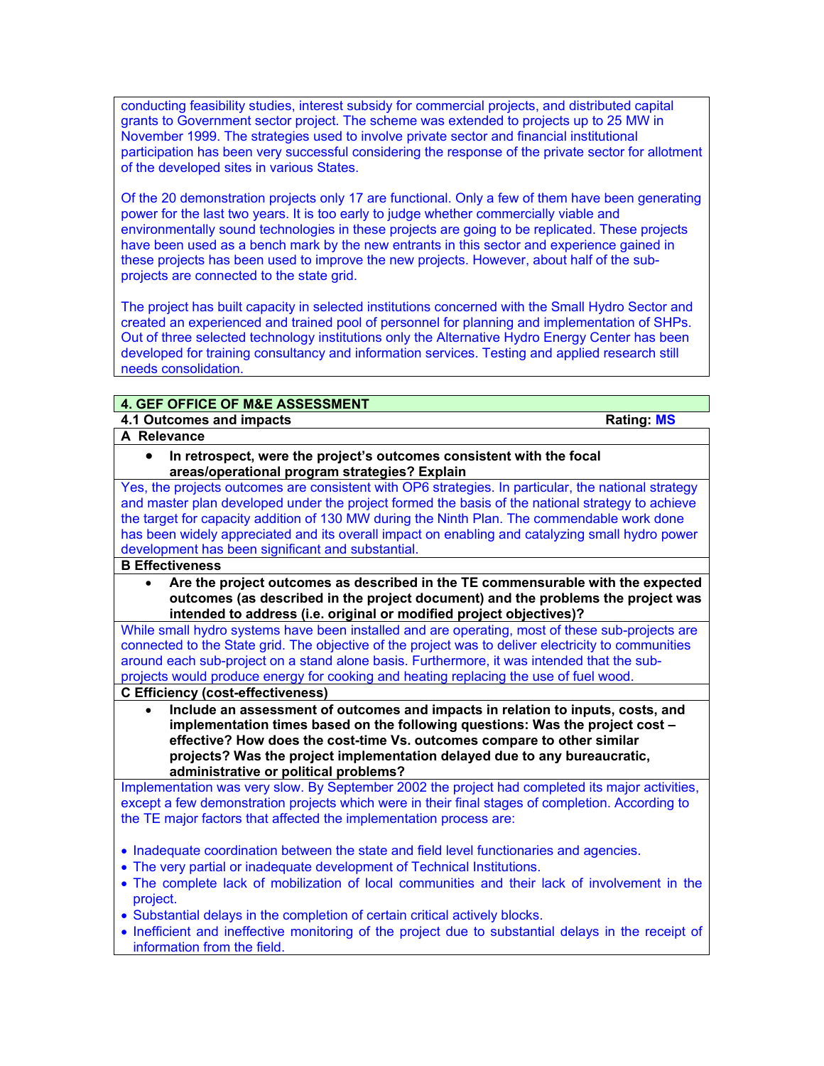conducting feasibility studies, interest subsidy for commercial projects, and distributed capital grants to Government sector project. The scheme was extended to projects up to 25 MW in November 1999. The strategies used to involve private sector and financial institutional participation has been very successful considering the response of the private sector for allotment of the developed sites in various States.

Of the 20 demonstration projects only 17 are functional. Only a few of them have been generating power for the last two years. It is too early to judge whether commercially viable and environmentally sound technologies in these projects are going to be replicated. These projects have been used as a bench mark by the new entrants in this sector and experience gained in these projects has been used to improve the new projects. However, about half of the subprojects are connected to the state grid.

The project has built capacity in selected institutions concerned with the Small Hydro Sector and created an experienced and trained pool of personnel for planning and implementation of SHPs. Out of three selected technology institutions only the Alternative Hydro Energy Center has been developed for training consultancy and information services. Testing and applied research still needs consolidation.

## **4. GEF OFFICE OF M&E ASSESSMENT**

**4.1 Outcomes and impacts Rating: MS A Relevance** 

• **In retrospect, were the project's outcomes consistent with the focal areas/operational program strategies? Explain**

Yes, the projects outcomes are consistent with OP6 strategies. In particular, the national strategy and master plan developed under the project formed the basis of the national strategy to achieve the target for capacity addition of 130 MW during the Ninth Plan. The commendable work done has been widely appreciated and its overall impact on enabling and catalyzing small hydro power development has been significant and substantial.

## **B Effectiveness**

• **Are the project outcomes as described in the TE commensurable with the expected outcomes (as described in the project document) and the problems the project was intended to address (i.e. original or modified project objectives)?** 

While small hydro systems have been installed and are operating, most of these sub-projects are connected to the State grid. The objective of the project was to deliver electricity to communities around each sub-project on a stand alone basis. Furthermore, it was intended that the subprojects would produce energy for cooking and heating replacing the use of fuel wood. **C Efficiency (cost-effectiveness)** 

• **Include an assessment of outcomes and impacts in relation to inputs, costs, and implementation times based on the following questions: Was the project cost – effective? How does the cost-time Vs. outcomes compare to other similar projects? Was the project implementation delayed due to any bureaucratic, administrative or political problems?**

Implementation was very slow. By September 2002 the project had completed its major activities, except a few demonstration projects which were in their final stages of completion. According to the TE major factors that affected the implementation process are:

- Inadequate coordination between the state and field level functionaries and agencies.
- The very partial or inadequate development of Technical Institutions.
- The complete lack of mobilization of local communities and their lack of involvement in the project.
- Substantial delays in the completion of certain critical actively blocks.
- Inefficient and ineffective monitoring of the project due to substantial delays in the receipt of information from the field.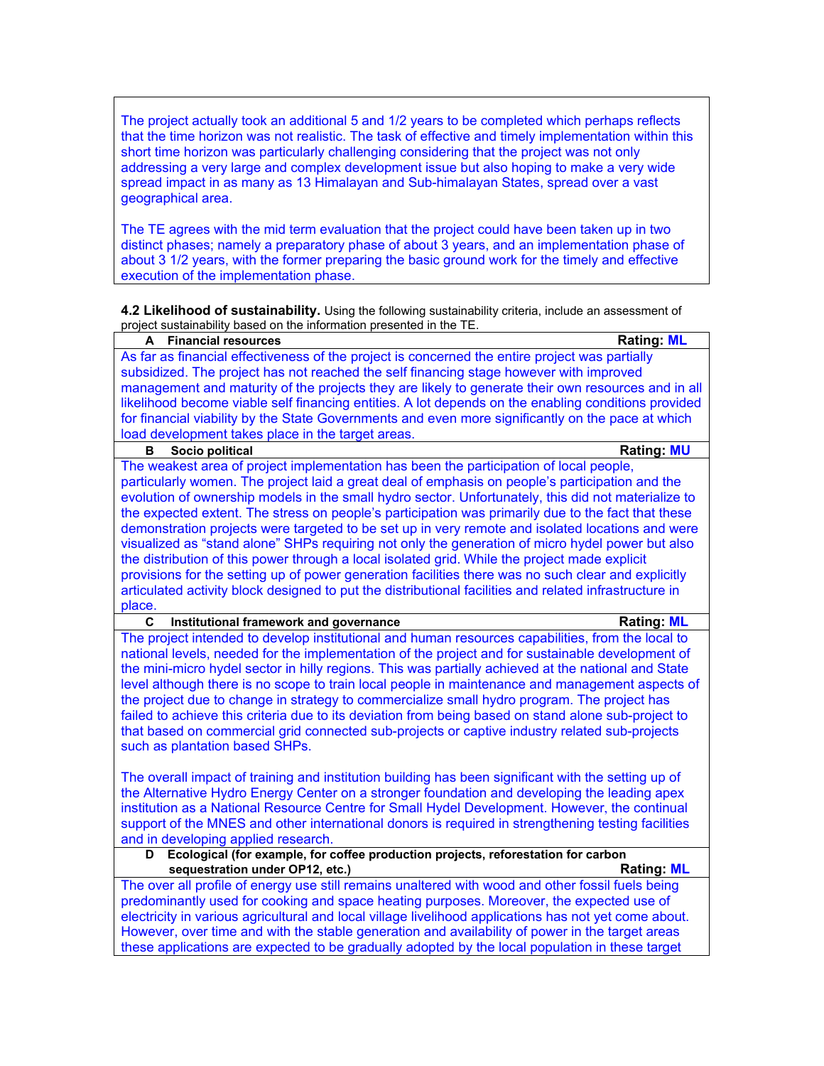The project actually took an additional 5 and 1/2 years to be completed which perhaps reflects that the time horizon was not realistic. The task of effective and timely implementation within this short time horizon was particularly challenging considering that the project was not only addressing a very large and complex development issue but also hoping to make a very wide spread impact in as many as 13 Himalayan and Sub-himalayan States, spread over a vast geographical area.

The TE agrees with the mid term evaluation that the project could have been taken up in two distinct phases; namely a preparatory phase of about 3 years, and an implementation phase of about 3 1/2 years, with the former preparing the basic ground work for the timely and effective execution of the implementation phase.

**4.2 Likelihood of sustainability.** Using the following sustainability criteria, include an assessment of project sustainability based on the information presented in the TE.

| A Financial resources                                                                                                    | <b>Rating: ML</b> |
|--------------------------------------------------------------------------------------------------------------------------|-------------------|
| As far as financial effectiveness of the project is concerned the entire project was partially                           |                   |
| subsidized. The project has not reached the self financing stage however with improved                                   |                   |
| management and maturity of the projects they are likely to generate their own resources and in all                       |                   |
| likelihood become viable self financing entities. A lot depends on the enabling conditions provided                      |                   |
| for financial viability by the State Governments and even more significantly on the pace at which                        |                   |
| load development takes place in the target areas.                                                                        |                   |
| Socio political<br>в                                                                                                     | <b>Rating: MU</b> |
| The weakest area of project implementation has been the participation of local people,                                   |                   |
| particularly women. The project laid a great deal of emphasis on people's participation and the                          |                   |
| evolution of ownership models in the small hydro sector. Unfortunately, this did not materialize to                      |                   |
| the expected extent. The stress on people's participation was primarily due to the fact that these                       |                   |
| demonstration projects were targeted to be set up in very remote and isolated locations and were                         |                   |
| visualized as "stand alone" SHPs requiring not only the generation of micro hydel power but also                         |                   |
| the distribution of this power through a local isolated grid. While the project made explicit                            |                   |
| provisions for the setting up of power generation facilities there was no such clear and explicitly                      |                   |
| articulated activity block designed to put the distributional facilities and related infrastructure in                   |                   |
| place.                                                                                                                   |                   |
| C<br>Institutional framework and governance                                                                              | <b>Rating: ML</b> |
| The project intended to develop institutional and human resources capabilities, from the local to                        |                   |
| national levels, needed for the implementation of the project and for sustainable development of                         |                   |
| the mini-micro hydel sector in hilly regions. This was partially achieved at the national and State                      |                   |
| level although there is no scope to train local people in maintenance and management aspects of                          |                   |
| the project due to change in strategy to commercialize small hydro program. The project has                              |                   |
| failed to achieve this criteria due to its deviation from being based on stand alone sub-project to                      |                   |
| that based on commercial grid connected sub-projects or captive industry related sub-projects                            |                   |
|                                                                                                                          |                   |
| such as plantation based SHPs.                                                                                           |                   |
| The overall impact of training and institution building has been significant with the setting up of                      |                   |
| the Alternative Hydro Energy Center on a stronger foundation and developing the leading apex                             |                   |
| institution as a National Resource Centre for Small Hydel Development. However, the continual                            |                   |
|                                                                                                                          |                   |
| support of the MNES and other international donors is required in strengthening testing facilities                       |                   |
| and in developing applied research.<br>Ecological (for example, for coffee production projects, reforestation for carbon |                   |
| D                                                                                                                        | <b>Rating: ML</b> |
| sequestration under OP12, etc.)                                                                                          |                   |
| The over all profile of energy use still remains unaltered with wood and other fossil fuels being                        |                   |
| predominantly used for cooking and space heating purposes. Moreover, the expected use of                                 |                   |
| electricity in various agricultural and local village livelihood applications has not yet come about.                    |                   |
| However, over time and with the stable generation and availability of power in the target areas                          |                   |
| these applications are expected to be gradually adopted by the local population in these target                          |                   |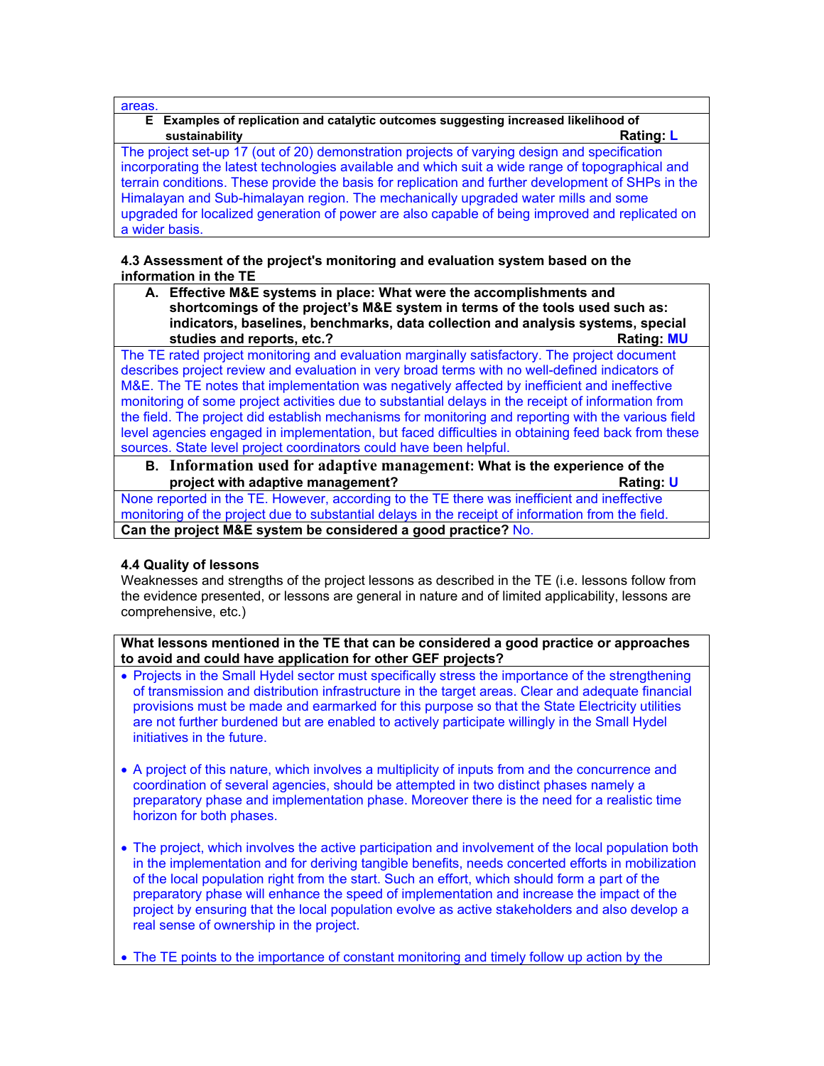areas.

### **E Examples of replication and catalytic outcomes suggesting increased likelihood of sustainability Rating: L**

The project set-up 17 (out of 20) demonstration projects of varying design and specification incorporating the latest technologies available and which suit a wide range of topographical and terrain conditions. These provide the basis for replication and further development of SHPs in the Himalayan and Sub-himalayan region. The mechanically upgraded water mills and some upgraded for localized generation of power are also capable of being improved and replicated on a wider basis.

### **4.3 Assessment of the project's monitoring and evaluation system based on the information in the TE**

**A. Effective M&E systems in place: What were the accomplishments and shortcomings of the project's M&E system in terms of the tools used such as: indicators, baselines, benchmarks, data collection and analysis systems, special**  studies and reports, etc.?

The TE rated project monitoring and evaluation marginally satisfactory. The project document describes project review and evaluation in very broad terms with no well-defined indicators of M&E. The TE notes that implementation was negatively affected by inefficient and ineffective monitoring of some project activities due to substantial delays in the receipt of information from the field. The project did establish mechanisms for monitoring and reporting with the various field level agencies engaged in implementation, but faced difficulties in obtaining feed back from these sources. State level project coordinators could have been helpful.

**B. Information used for adaptive management: What is the experience of the project with adaptive management? Constant in the set of the set of the set of the Rating: U** 

None reported in the TE. However, according to the TE there was inefficient and ineffective monitoring of the project due to substantial delays in the receipt of information from the field. **Can the project M&E system be considered a good practice?** No.

## **4.4 Quality of lessons**

Weaknesses and strengths of the project lessons as described in the TE (i.e. lessons follow from the evidence presented, or lessons are general in nature and of limited applicability, lessons are comprehensive, etc.)

**What lessons mentioned in the TE that can be considered a good practice or approaches to avoid and could have application for other GEF projects?**

- Projects in the Small Hydel sector must specifically stress the importance of the strengthening of transmission and distribution infrastructure in the target areas. Clear and adequate financial provisions must be made and earmarked for this purpose so that the State Electricity utilities are not further burdened but are enabled to actively participate willingly in the Small Hydel initiatives in the future.
- A project of this nature, which involves a multiplicity of inputs from and the concurrence and coordination of several agencies, should be attempted in two distinct phases namely a preparatory phase and implementation phase. Moreover there is the need for a realistic time horizon for both phases.
- The project, which involves the active participation and involvement of the local population both in the implementation and for deriving tangible benefits, needs concerted efforts in mobilization of the local population right from the start. Such an effort, which should form a part of the preparatory phase will enhance the speed of implementation and increase the impact of the project by ensuring that the local population evolve as active stakeholders and also develop a real sense of ownership in the project.
- The TE points to the importance of constant monitoring and timely follow up action by the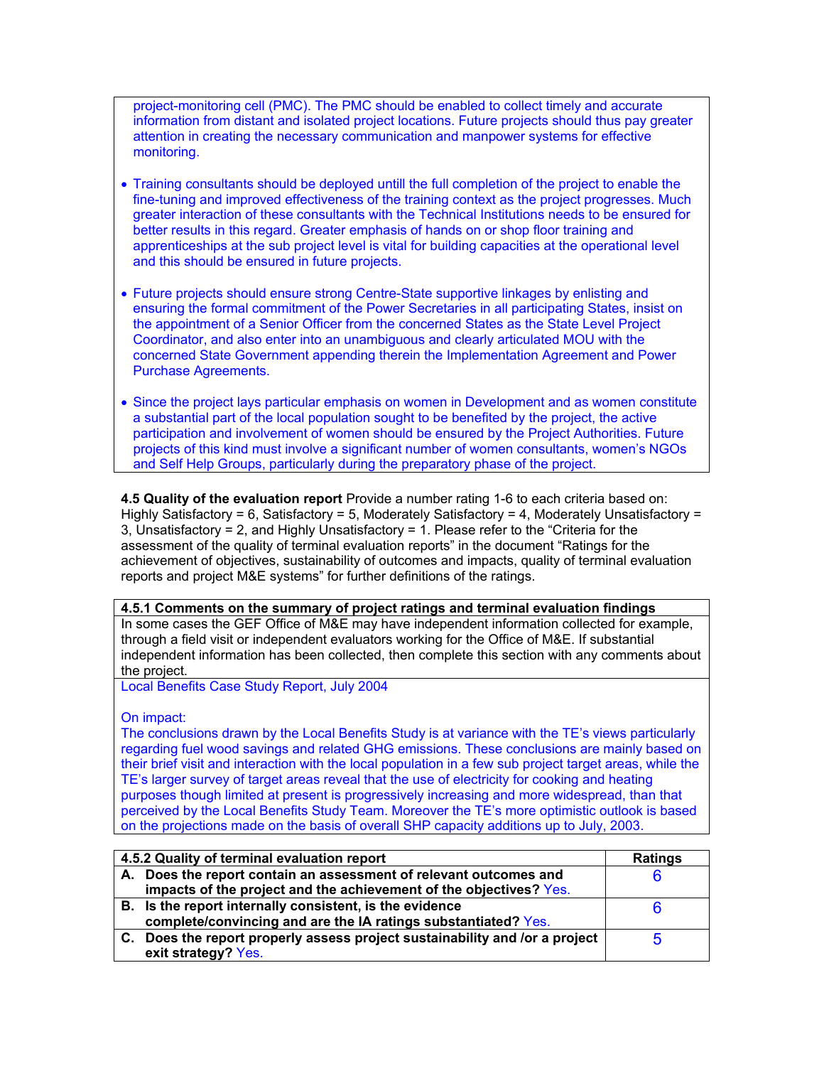project-monitoring cell (PMC). The PMC should be enabled to collect timely and accurate information from distant and isolated project locations. Future projects should thus pay greater attention in creating the necessary communication and manpower systems for effective monitoring.

- Training consultants should be deployed untill the full completion of the project to enable the fine-tuning and improved effectiveness of the training context as the project progresses. Much greater interaction of these consultants with the Technical Institutions needs to be ensured for better results in this regard. Greater emphasis of hands on or shop floor training and apprenticeships at the sub project level is vital for building capacities at the operational level and this should be ensured in future projects.
- Future projects should ensure strong Centre-State supportive linkages by enlisting and ensuring the formal commitment of the Power Secretaries in all participating States, insist on the appointment of a Senior Officer from the concerned States as the State Level Project Coordinator, and also enter into an unambiguous and clearly articulated MOU with the concerned State Government appending therein the Implementation Agreement and Power Purchase Agreements.
- Since the project lays particular emphasis on women in Development and as women constitute a substantial part of the local population sought to be benefited by the project, the active participation and involvement of women should be ensured by the Project Authorities. Future projects of this kind must involve a significant number of women consultants, women's NGOs and Self Help Groups, particularly during the preparatory phase of the project.

**4.5 Quality of the evaluation report** Provide a number rating 1-6 to each criteria based on: Highly Satisfactory = 6, Satisfactory = 5, Moderately Satisfactory = 4, Moderately Unsatisfactory = 3, Unsatisfactory = 2, and Highly Unsatisfactory = 1. Please refer to the "Criteria for the assessment of the quality of terminal evaluation reports" in the document "Ratings for the achievement of objectives, sustainability of outcomes and impacts, quality of terminal evaluation reports and project M&E systems" for further definitions of the ratings.

### **4.5.1 Comments on the summary of project ratings and terminal evaluation findings**

In some cases the GEF Office of M&E may have independent information collected for example, through a field visit or independent evaluators working for the Office of M&E. If substantial independent information has been collected, then complete this section with any comments about the project.

Local Benefits Case Study Report, July 2004

On impact:

The conclusions drawn by the Local Benefits Study is at variance with the TE's views particularly regarding fuel wood savings and related GHG emissions. These conclusions are mainly based on their brief visit and interaction with the local population in a few sub project target areas, while the TE's larger survey of target areas reveal that the use of electricity for cooking and heating purposes though limited at present is progressively increasing and more widespread, than that perceived by the Local Benefits Study Team. Moreover the TE's more optimistic outlook is based on the projections made on the basis of overall SHP capacity additions up to July, 2003.

| 4.5.2 Quality of terminal evaluation report                                 | <b>Ratings</b> |
|-----------------------------------------------------------------------------|----------------|
| A. Does the report contain an assessment of relevant outcomes and           |                |
| impacts of the project and the achievement of the objectives? Yes.          |                |
| B. Is the report internally consistent, is the evidence                     |                |
| complete/convincing and are the IA ratings substantiated? Yes.              |                |
| C. Does the report properly assess project sustainability and /or a project | b              |
| exit strategy? Yes.                                                         |                |